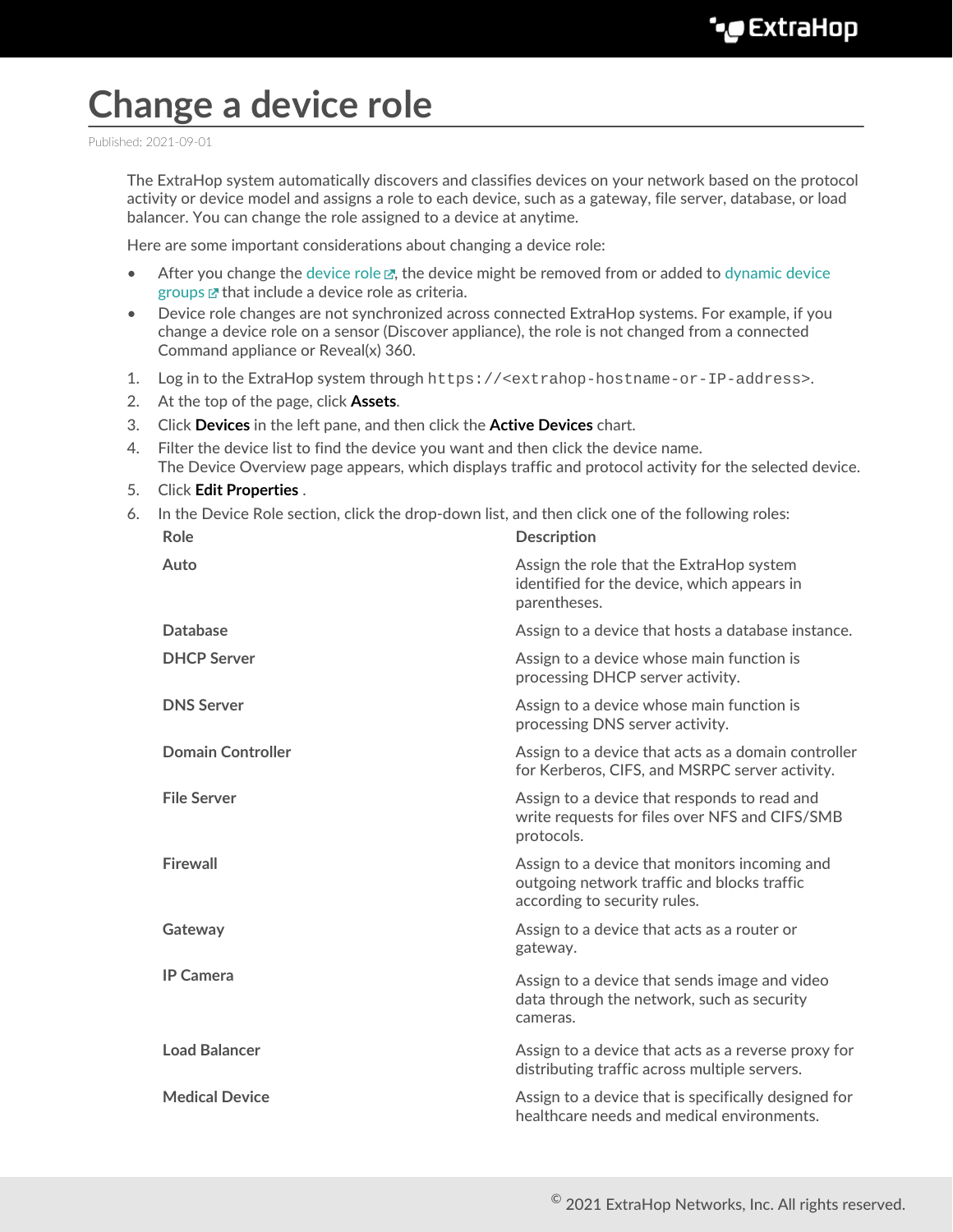## **Change a device role**

Published: 2021-09-01

The ExtraHop system automatically discovers and classifies devices on your network based on the protocol activity or device model and assigns a role to each device, such as a gateway, file server, database, or load balancer. You can change the role assigned to a device at anytime.

Here are some important considerations about changing a device role:

- After you change the [device role](https://docs.extrahop.com/8.3/devices-overview/#device-roles)  $\mathbb{Z}$ , the device might be removed from or added to [dynamic device](https://docs.extrahop.com/8.3/create-device-group/#create-a-dynamic-device-group) [groups](https://docs.extrahop.com/8.3/create-device-group/#create-a-dynamic-device-group)  $\mathbb Z$  that include a device role as criteria.
- Device role changes are not synchronized across connected ExtraHop systems. For example, if you change a device role on a sensor (Discover appliance), the role is not changed from a connected Command appliance or Reveal(x) 360.
- 1. Log in to the ExtraHop system through https://<extrahop-hostname-or-IP-address>.
- 2. At the top of the page, click **Assets**.
- 3. Click **Devices** in the left pane, and then click the **Active Devices** chart.
- 4. Filter the device list to find the device you want and then click the device name. The Device Overview page appears, which displays traffic and protocol activity for the selected device.
- 5. Click **Edit Properties** .
- 6. In the Device Role section, click the drop-down list, and then click one of the following roles:

| Role                     | <b>Description</b>                                                                                                           |
|--------------------------|------------------------------------------------------------------------------------------------------------------------------|
| Auto                     | Assign the role that the ExtraHop system<br>identified for the device, which appears in<br>parentheses.                      |
| <b>Database</b>          | Assign to a device that hosts a database instance.                                                                           |
| <b>DHCP Server</b>       | Assign to a device whose main function is<br>processing DHCP server activity.                                                |
| <b>DNS Server</b>        | Assign to a device whose main function is<br>processing DNS server activity.                                                 |
| <b>Domain Controller</b> | Assign to a device that acts as a domain controller<br>for Kerberos, CIFS, and MSRPC server activity.                        |
| <b>File Server</b>       | Assign to a device that responds to read and<br>write requests for files over NFS and CIFS/SMB<br>protocols.                 |
| <b>Firewall</b>          | Assign to a device that monitors incoming and<br>outgoing network traffic and blocks traffic<br>according to security rules. |
| Gateway                  | Assign to a device that acts as a router or<br>gateway.                                                                      |
| <b>IP Camera</b>         | Assign to a device that sends image and video<br>data through the network, such as security<br>cameras.                      |
| <b>Load Balancer</b>     | Assign to a device that acts as a reverse proxy for<br>distributing traffic across multiple servers.                         |
| <b>Medical Device</b>    | Assign to a device that is specifically designed for<br>healthcare needs and medical environments.                           |